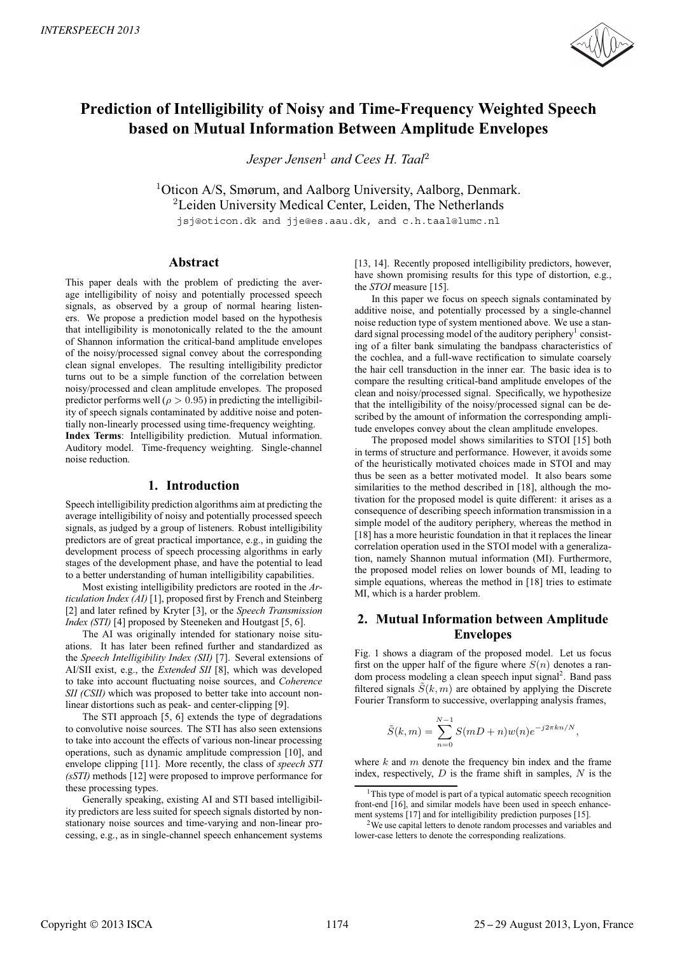

# **Prediction of Intelligibility of Noisy and Time-Frequency Weighted Speech based on Mutual Information Between Amplitude Envelopes**

*Jesper Jensen*<sup>1</sup> *and Cees H. Taal*<sup>2</sup>

<sup>1</sup>Oticon A/S, Smørum, and Aalborg University, Aalborg, Denmark. <sup>2</sup>Leiden University Medical Center, Leiden, The Netherlands

jsj@oticon.dk and jje@es.aau.dk, and c.h.taal@lumc.nl

# **Abstract**

This paper deals with the problem of predicting the average intelligibility of noisy and potentially processed speech signals, as observed by a group of normal hearing listeners. We propose a prediction model based on the hypothesis that intelligibility is monotonically related to the the amount of Shannon information the critical-band amplitude envelopes of the noisy/processed signal convey about the corresponding clean signal envelopes. The resulting intelligibility predictor turns out to be a simple function of the correlation between noisy/processed and clean amplitude envelopes. The proposed predictor performs well ( $\rho > 0.95$ ) in predicting the intelligibility of speech signals contaminated by additive noise and potentially non-linearly processed using time-frequency weighting. **Index Terms**: Intelligibility prediction. Mutual information. Auditory model. Time-frequency weighting. Single-channel noise reduction.

# **1. Introduction**

Speech intelligibility prediction algorithms aim at predicting the average intelligibility of noisy and potentially processed speech signals, as judged by a group of listeners. Robust intelligibility predictors are of great practical importance, e.g., in guiding the development process of speech processing algorithms in early stages of the development phase, and have the potential to lead to a better understanding of human intelligibility capabilities.

Most existing intelligibility predictors are rooted in the *Articulation Index (AI)* [1], proposed first by French and Steinberg [2] and later refined by Kryter [3], or the *Speech Transmission Index (STI)* [4] proposed by Steeneken and Houtgast [5, 6].

The AI was originally intended for stationary noise situations. It has later been refined further and standardized as the *Speech Intelligibility Index (SII)* [7]. Several extensions of AI/SII exist, e.g., the *Extended SII* [8], which was developed to take into account fluctuating noise sources, and *Coherence SII (CSII)* which was proposed to better take into account nonlinear distortions such as peak- and center-clipping [9].

The STI approach [5, 6] extends the type of degradations to convolutive noise sources. The STI has also seen extensions to take into account the effects of various non-linear processing operations, such as dynamic amplitude compression [10], and envelope clipping [11]. More recently, the class of *speech STI (sSTI)* methods [12] were proposed to improve performance for these processing types.

Generally speaking, existing AI and STI based intelligibility predictors are less suited for speech signals distorted by nonstationary noise sources and time-varying and non-linear processing, e.g., as in single-channel speech enhancement systems [13, 14]. Recently proposed intelligibility predictors, however, have shown promising results for this type of distortion, e.g., the *STOI* measure [15].

In this paper we focus on speech signals contaminated by additive noise, and potentially processed by a single-channel noise reduction type of system mentioned above. We use a standard signal processing model of the auditory periphery<sup>1</sup> consisting of a filter bank simulating the bandpass characteristics of the cochlea, and a full-wave rectification to simulate coarsely the hair cell transduction in the inner ear. The basic idea is to compare the resulting critical-band amplitude envelopes of the clean and noisy/processed signal. Specifically, we hypothesize that the intelligibility of the noisy/processed signal can be described by the amount of information the corresponding amplitude envelopes convey about the clean amplitude envelopes.

The proposed model shows similarities to STOI [15] both in terms of structure and performance. However, it avoids some of the heuristically motivated choices made in STOI and may thus be seen as a better motivated model. It also bears some similarities to the method described in [18], although the motivation for the proposed model is quite different: it arises as a consequence of describing speech information transmission in a simple model of the auditory periphery, whereas the method in [18] has a more heuristic foundation in that it replaces the linear correlation operation used in the STOI model with a generalization, namely Shannon mutual information (MI). Furthermore, the proposed model relies on lower bounds of MI, leading to simple equations, whereas the method in [18] tries to estimate MI, which is a harder problem.

# **2. Mutual Information between Amplitude Envelopes**

Fig. 1 shows a diagram of the proposed model. Let us focus first on the upper half of the figure where  $S(n)$  denotes a random process modeling a clean speech input signal<sup>2</sup>. Band pass filtered signals  $S(k, m)$  are obtained by applying the Discrete Fourier Transform to successive, overlapping analysis frames,

$$
\tilde{S}(k,m) = \sum_{n=0}^{N-1} S(mD+n)w(n)e^{-j2\pi kn/N},
$$

where  $k$  and  $m$  denote the frequency bin index and the frame index, respectively,  $D$  is the frame shift in samples,  $N$  is the

<sup>&</sup>lt;sup>1</sup>This type of model is part of a typical automatic speech recognition front-end [16], and similar models have been used in speech enhancement systems [17] and for intelligibility prediction purposes [15].

<sup>2</sup>We use capital letters to denote random processes and variables and lower-case letters to denote the corresponding realizations.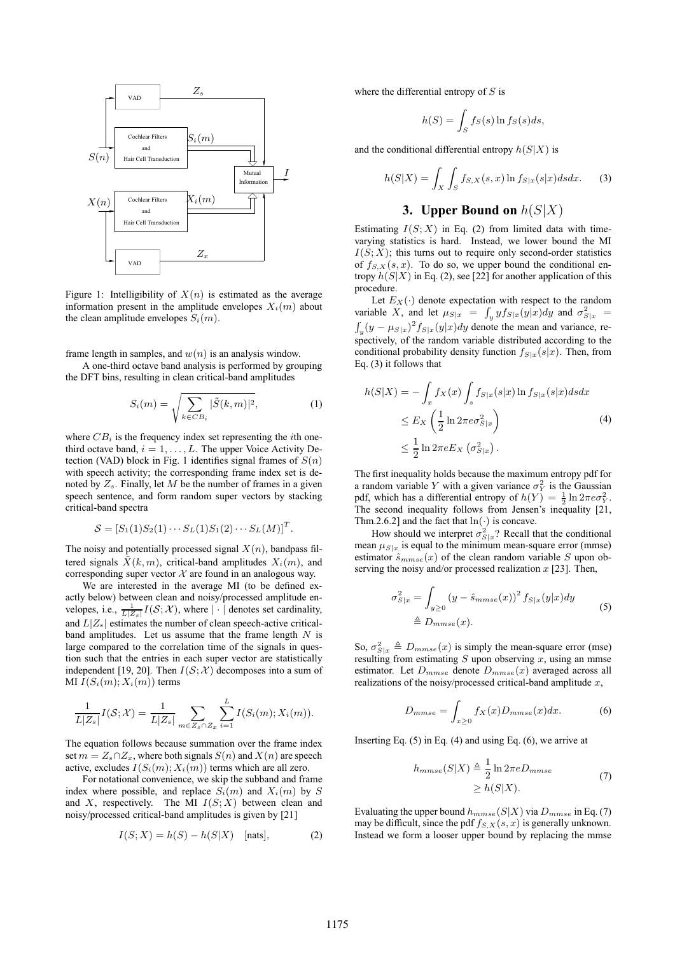

Figure 1: Intelligibility of  $X(n)$  is estimated as the average information present in the amplitude envelopes  $X_i(m)$  about the clean amplitude envelopes  $S_i(m)$ .

frame length in samples, and  $w(n)$  is an analysis window.

A one-third octave band analysis is performed by grouping the DFT bins, resulting in clean critical-band amplitudes

$$
S_i(m) = \sqrt{\sum_{k \in CB_i} |\tilde{S}(k, m)|^2},
$$
 (1)

where  $CB_i$  is the frequency index set representing the *i*th onethird octave band,  $i = 1, \ldots, L$ . The upper Voice Activity Detection (VAD) block in Fig. 1 identifies signal frames of  $S(n)$ with speech activity; the corresponding frame index set is denoted by  $Z_s$ . Finally, let M be the number of frames in a given speech sentence, and form random super vectors by stacking critical-band spectra

$$
S = [S_1(1)S_2(1) \cdots S_L(1)S_1(2) \cdots S_L(M)]^T.
$$

The noisy and potentially processed signal  $X(n)$ , bandpass filtered signals  $\tilde{X}(k,m)$ , critical-band amplitudes  $X_i(m)$ , and corresponding super vector  $X$  are found in an analogous way.

We are interested in the average MI (to be defined exactly below) between clean and noisy/processed amplitude envelopes, i.e.,  $\frac{1}{L|Z_s|} I(\mathcal{S}; \mathcal{X})$ , where  $|\cdot|$  denotes set cardinality, and  $L|Z_s|$  estimates the number of clean speech-active criticalband amplitudes. Let us assume that the frame length  $N$  is large compared to the correlation time of the signals in question such that the entries in each super vector are statistically independent [19, 20]. Then  $I(S; \mathcal{X})$  decomposes into a sum of MI  $I(S_i(m); X_i(m))$  terms

$$
\frac{1}{L|Z_s|}I(\mathcal{S};\mathcal{X}) = \frac{1}{L|Z_s|} \sum_{m \in Z_s \cap Z_x} \sum_{i=1}^L I(S_i(m); X_i(m)).
$$

The equation follows because summation over the frame index set  $m = Z_s \cap Z_x$ , where both signals  $S(n)$  and  $X(n)$  are speech active, excludes  $I(S_i(m); X_i(m))$  terms which are all zero.

For notational convenience, we skip the subband and frame index where possible, and replace  $S_i(m)$  and  $X_i(m)$  by S and  $X$ , respectively. The MI  $I(S; X)$  between clean and noisy/processed critical-band amplitudes is given by [21]

$$
I(S;X) = h(S) - h(S|X) \quad [nats], \tag{2}
$$

where the differential entropy of  $S$  is

$$
h(S) = \int_{S} f_S(s) \ln f_S(s) ds,
$$

and the conditional differential entropy  $h(S|X)$  is

$$
h(S|X) = \int_X \int_S f_{S,X}(s,x) \ln f_{S|x}(s|x) ds dx.
$$
 (3)

# **3. Upper Bound on** h(S|X)

Estimating  $I(S; X)$  in Eq. (2) from limited data with timevarying statistics is hard. Instead, we lower bound the MI  $I(S; X)$ ; this turns out to require only second-order statistics of  $f_{S,X}(s, x)$ . To do so, we upper bound the conditional entropy  $h(S|X)$  in Eq. (2), see [22] for another application of this procedure.

Let  $E_X(\cdot)$  denote expectation with respect to the random variable X, and let  $\mu_{S|x} = \int_y y f_{S|x}(y|x) dy$  and  $\sigma_{S|x}^2 =$  $\int_y (y - \mu_{S|x})^2 f_{S|x}(y|x) dy$  denote the mean and variance, respectively, of the random variable distributed according to the conditional probability density function  $f_{S|x}(s|x)$ . Then, from Eq. (3) it follows that

$$
h(S|X) = -\int_x f_X(x) \int_s f_{S|x}(s|x) \ln f_{S|x}(s|x) ds dx
$$
  
\n
$$
\leq E_X \left(\frac{1}{2} \ln 2\pi e \sigma_{S|x}^2\right)
$$
  
\n
$$
\leq \frac{1}{2} \ln 2\pi e E_X \left(\sigma_{S|x}^2\right).
$$
\n(4)

The first inequality holds because the maximum entropy pdf for a random variable Y with a given variance  $\sigma_Y^2$  is the Gaussian pdf, which has a differential entropy of  $h(Y) = \frac{1}{2} \ln 2\pi e \sigma_Y^2$ . The second inequality follows from Jensen's inequality [21, Thm.2.6.2] and the fact that  $ln(·)$  is concave.

How should we interpret  $\sigma_{S|x}^2$ ? Recall that the conditional mean  $\mu_{S|x}$  is equal to the minimum mean-square error (mmse) estimator  $\hat{s}_{mmse}(x)$  of the clean random variable S upon observing the noisy and/or processed realization  $x$  [23]. Then,

$$
\sigma_{S|x}^2 = \int_{y\geq 0} (y - \hat{s}_{mmse}(x))^2 f_{S|x}(y|x) dy
$$
  
\n
$$
\triangleq D_{mmse}(x).
$$
\n(5)

So,  $\sigma_{S|x}^2 \triangleq D_{mmse}(x)$  is simply the mean-square error (mse) resulting from estimating  $S$  upon observing  $x$ , using an mmse estimator. Let  $D_{mmse}$  denote  $D_{mmse}(x)$  averaged across all realizations of the noisy/processed critical-band amplitude  $x$ ,

$$
D_{mmse} = \int_{x \ge 0} f_X(x) D_{mmse}(x) dx.
$$
 (6)

Inserting Eq.  $(5)$  in Eq.  $(4)$  and using Eq.  $(6)$ , we arrive at

$$
h_{mmse}(S|X) \triangleq \frac{1}{2} \ln 2\pi e D_{mmse}
$$
  
\n
$$
\geq h(S|X).
$$
 (7)

Evaluating the upper bound  $h_{mmse}(S|X)$  via  $D_{mmse}$  in Eq. (7) may be difficult, since the pdf  $f_{S,X}(s, x)$  is generally unknown. Instead we form a looser upper bound by replacing the mmse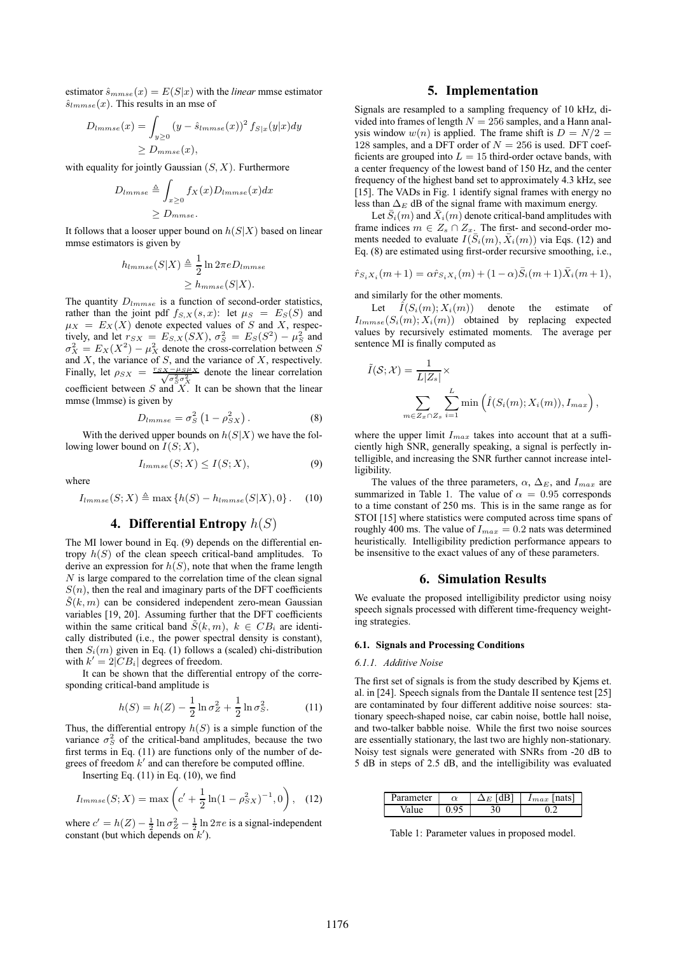estimator  $\hat{s}_{mmse}(x) = E(S|x)$  with the *linear* mmse estimator  $\hat{s}_{lmmse}(x)$ . This results in an mse of

$$
D_{lmmse}(x) = \int_{y \ge 0} (y - \hat{s}_{lmmse}(x))^2 f_{S|x}(y|x) dy
$$
  
\n
$$
\ge D_{mmse}(x),
$$

with equality for jointly Gaussian  $(S, X)$ . Furthermore

$$
D_{lmmse} \triangleq \int_{x \geq 0} f_X(x) D_{lmmse}(x) dx
$$
  
 
$$
\geq D_{mmse}.
$$

It follows that a looser upper bound on  $h(S|X)$  based on linear mmse estimators is given by

$$
h_{lmmse}(S|X) \triangleq \frac{1}{2} \ln 2\pi e D_{lmmse}
$$
  
 
$$
\geq h_{mmse}(S|X).
$$

The quantity  $D_{lmmse}$  is a function of second-order statistics, rather than the joint pdf  $f_{S,X}(s,x)$ : let  $\mu_S = E_S(S)$  and  $\mu_X = E_X(X)$  denote expected values of S and X, respectively, and let  $r_{SX} = E_{S,X}(SX)$ ,  $\sigma_S^2 = E_S(S^2) - \mu_S^2$  and  $\sigma_X^2 = E_X(X^2) - \mu_X^2$  denote the cross-correlation between S and  $X$ , the variance of  $S$ , and the variance of  $X$ , respectively. Finally, let  $\rho_{SX} = \frac{r_{SX} - \mu_S \mu_X}{\sqrt{\sigma_S^2 \sigma_X^2}}$  denote the linear correlation coefficient between S and  $X$ . It can be shown that the linear mmse (lmmse) is given by

$$
D_{lmmse} = \sigma_S^2 \left( 1 - \rho_{SX}^2 \right). \tag{8}
$$

With the derived upper bounds on  $h(S|X)$  we have the following lower bound on  $I(S; X)$ ,

$$
I_{lmmse}(S; X) \le I(S; X),\tag{9}
$$

where

$$
I_{lmmse}(S; X) \triangleq \max\left\{h(S) - h_{lmmse}(S|X), 0\right\}.
$$
 (10)

### **4. Differential Entropy** h(S)

The MI lower bound in Eq. (9) depends on the differential entropy  $h(S)$  of the clean speech critical-band amplitudes. To derive an expression for  $h(S)$ , note that when the frame length  $N$  is large compared to the correlation time of the clean signal  $S(n)$ , then the real and imaginary parts of the DFT coefficients  $\tilde{S}(k,m)$  can be considered independent zero-mean Gaussian variables [19, 20]. Assuming further that the DFT coefficients within the same critical band  $\tilde{S}(k,m)$ ,  $k \in CB_i$  are identically distributed (i.e., the power spectral density is constant), then  $S_i(m)$  given in Eq. (1) follows a (scaled) chi-distribution with  $k' = 2|CB_i|$  degrees of freedom.

It can be shown that the differential entropy of the corresponding critical-band amplitude is

$$
h(S) = h(Z) - \frac{1}{2} \ln \sigma_Z^2 + \frac{1}{2} \ln \sigma_S^2.
$$
 (11)

Thus, the differential entropy  $h(S)$  is a simple function of the variance  $\sigma_S^2$  of the critical-band amplitudes, because the two first terms in Eq. (11) are functions only of the number of degrees of freedom  $k'$  and can therefore be computed offline.

Inserting Eq.  $(11)$  in Eq.  $(10)$ , we find

$$
I_{lmmse}(S; X) = \max\left(c' + \frac{1}{2}\ln(1 - \rho_{SX}^2)^{-1}, 0\right), \quad (12)
$$

where  $c' = h(Z) - \frac{1}{2} \ln \sigma_Z^2 - \frac{1}{2} \ln 2\pi e$  is a signal-independent constant (but which depends on  $k'$ ).

### **5. Implementation**

Signals are resampled to a sampling frequency of 10 kHz, divided into frames of length  $N = 256$  samples, and a Hann analysis window  $w(n)$  is applied. The frame shift is  $D = N/2$ 128 samples, and a DFT order of  $N = 256$  is used. DFT coefficients are grouped into  $L = 15$  third-order octave bands, with a center frequency of the lowest band of 150 Hz, and the center frequency of the highest band set to approximately 4.3 kHz, see [15]. The VADs in Fig. 1 identify signal frames with energy no less than  $\Delta_E$  dB of the signal frame with maximum energy.

Let  $\bar{S}_i(m)$  and  $\bar{X}_i(m)$  denote critical-band amplitudes with frame indices  $m \in Z_s \cap Z_x$ . The first- and second-order moments needed to evaluate  $I(\bar{S}_i(m), \bar{X}_i(m))$  via Eqs. (12) and Eq. (8) are estimated using first-order recursive smoothing, i.e.,

$$
\hat{r}_{S_i X_i}(m+1) = \alpha \hat{r}_{S_i X_i}(m) + (1-\alpha) \bar{S}_i(m+1) \bar{X}_i(m+1),
$$

and similarly for the other moments.

Let  $\hat{I}(S_i(m); X_i(m))$  denote the estimate of  $I_{lmmse}(S_i(m); X_i(m))$  obtained by replacing expected values by recursively estimated moments. The average per sentence MI is finally computed as

$$
\tilde{I}(\mathcal{S}; \mathcal{X}) = \frac{1}{L|Z_s|} \times \sum_{m \in Z_x \cap Z_s} \sum_{i=1}^L \min\left(\hat{I}(S_i(m); X_i(m)), I_{max}\right),
$$

where the upper limit  $I_{max}$  takes into account that at a sufficiently high SNR, generally speaking, a signal is perfectly intelligible, and increasing the SNR further cannot increase intelligibility.

The values of the three parameters,  $\alpha$ ,  $\Delta_E$ , and  $I_{max}$  are summarized in Table 1. The value of  $\alpha = 0.95$  corresponds to a time constant of 250 ms. This is in the same range as for STOI [15] where statistics were computed across time spans of roughly 400 ms. The value of  $I_{max} = 0.2$  nats was determined heuristically. Intelligibility prediction performance appears to be insensitive to the exact values of any of these parameters.

#### **6. Simulation Results**

We evaluate the proposed intelligibility predictor using noisy speech signals processed with different time-frequency weighting strategies.

#### **6.1. Signals and Processing Conditions**

#### *6.1.1. Additive Noise*

The first set of signals is from the study described by Kjems et. al. in [24]. Speech signals from the Dantale II sentence test [25] are contaminated by four different additive noise sources: stationary speech-shaped noise, car cabin noise, bottle hall noise, and two-talker babble noise. While the first two noise sources are essentially stationary, the last two are highly non-stationary. Noisy test signals were generated with SNRs from -20 dB to 5 dB in steps of 2.5 dB, and the intelligibility was evaluated

| meter<br>۲я |  | $_{max}$ |
|-------------|--|----------|
|             |  |          |

Table 1: Parameter values in proposed model.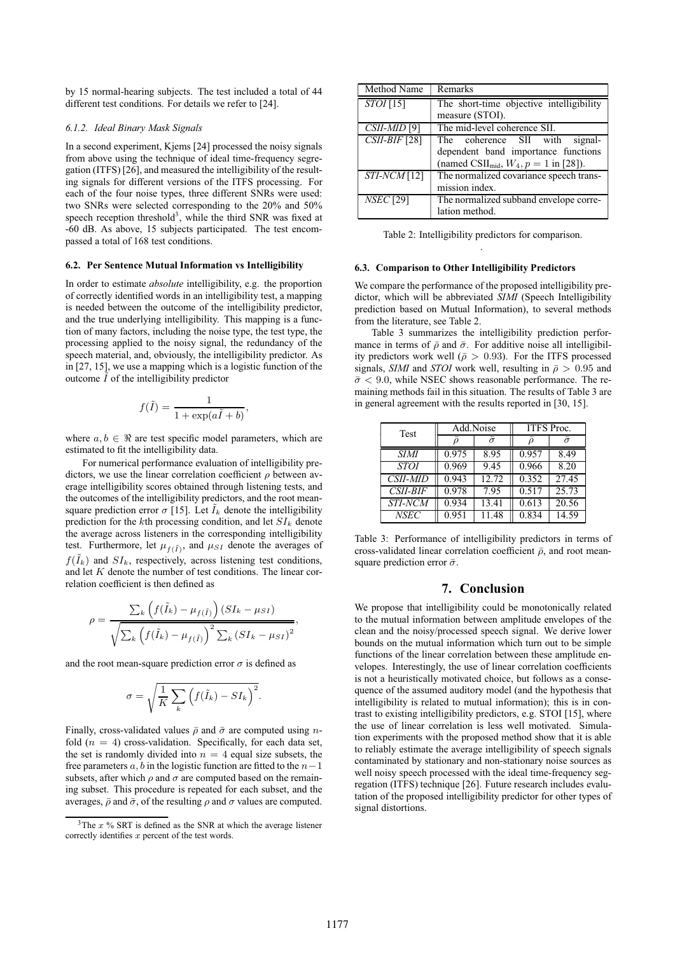by 15 normal-hearing subjects. The test included a total of 44 different test conditions. For details we refer to [24].

#### *6.1.2. Ideal Binary Mask Signals*

In a second experiment, Kjems [24] processed the noisy signals from above using the technique of ideal time-frequency segregation (ITFS) [26], and measured the intelligibility of the resulting signals for different versions of the ITFS processing. For each of the four noise types, three different SNRs were used: two SNRs were selected corresponding to the 20% and 50% speech reception threshold<sup>3</sup>, while the third SNR was fixed at -60 dB. As above, 15 subjects participated. The test encompassed a total of 168 test conditions.

#### **6.2. Per Sentence Mutual Information vs Intelligibility**

In order to estimate *absolute* intelligibility, e.g. the proportion of correctly identified words in an intelligibility test, a mapping is needed between the outcome of the intelligibility predictor, and the true underlying intelligibility. This mapping is a function of many factors, including the noise type, the test type, the processing applied to the noisy signal, the redundancy of the speech material, and, obviously, the intelligibility predictor. As in [27, 15], we use a mapping which is a logistic function of the outcome  $\tilde{I}$  of the intelligibility predictor

$$
f(\tilde{I}) = \frac{1}{1 + \exp(a\tilde{I} + b)},
$$

where  $a, b \in \Re$  are test specific model parameters, which are estimated to fit the intelligibility data.

For numerical performance evaluation of intelligibility predictors, we use the linear correlation coefficient  $\rho$  between average intelligibility scores obtained through listening tests, and the outcomes of the intelligibility predictors, and the root meansquare prediction error  $\sigma$  [15]. Let  $\tilde{I}_k$  denote the intelligibility prediction for the kth processing condition, and let  $SI_k$  denote the average across listeners in the corresponding intelligibility test. Furthermore, let  $\mu_{f(\tilde{I})}$ , and  $\mu_{SI}$  denote the averages of  $f(\tilde{I}_k)$  and  $SI_k$ , respectively, across listening test conditions, and let  $K$  denote the number of test conditions. The linear correlation coefficient is then defined as

$$
\rho = \frac{\sum_{k} (f(\tilde{I}_{k}) - \mu_{f(\tilde{I})}) (SI_{k} - \mu_{SI})}{\sqrt{\sum_{k} (f(\tilde{I}_{k}) - \mu_{f(\tilde{I})})^{2} \sum_{k} (SI_{k} - \mu_{SI})^{2}}},
$$

and the root mean-square prediction error  $\sigma$  is defined as

$$
\sigma = \sqrt{\frac{1}{K} \sum_{k} (f(\tilde{I}_{k}) - SI_{k})^{2}}.
$$

Finally, cross-validated values  $\bar{\rho}$  and  $\bar{\sigma}$  are computed using *n*fold  $(n = 4)$  cross-validation. Specifically, for each data set, the set is randomly divided into  $n = 4$  equal size subsets, the free parameters a, b in the logistic function are fitted to the  $n-1$ subsets, after which  $\rho$  and  $\sigma$  are computed based on the remaining subset. This procedure is repeated for each subset, and the averages,  $\bar{\rho}$  and  $\bar{\sigma}$ , of the resulting  $\rho$  and  $\sigma$  values are computed.

| Method Name      | Remarks                                                |  |  |  |
|------------------|--------------------------------------------------------|--|--|--|
| $STOI$ [15]      | The short-time objective intelligibility               |  |  |  |
|                  | measure (STOI).                                        |  |  |  |
| $CSII-MID$ [9]   | The mid-level coherence SII.                           |  |  |  |
| $CSII-BIF$ [28]  | The coherence SII with<br>signal-                      |  |  |  |
|                  | dependent band importance functions                    |  |  |  |
|                  | (named CSII <sub>mid</sub> , $W_4$ , $p = 1$ in [28]). |  |  |  |
| $STI-NCM$ [12]   | The normalized covariance speech trans-                |  |  |  |
|                  | mission index.                                         |  |  |  |
| <b>NSEC</b> [29] | The normalized subband envelope corre-                 |  |  |  |
|                  | lation method.                                         |  |  |  |

Table 2: Intelligibility predictors for comparison. .

#### **6.3. Comparison to Other Intelligibility Predictors**

We compare the performance of the proposed intelligibility predictor, which will be abbreviated *SIMI* (Speech Intelligibility prediction based on Mutual Information), to several methods from the literature, see Table 2.

Table 3 summarizes the intelligibility prediction performance in terms of  $\bar{\rho}$  and  $\bar{\sigma}$ . For additive noise all intelligibility predictors work well ( $\bar{\rho} > 0.93$ ). For the ITFS processed signals, *SIMI* and *STOI* work well, resulting in  $\bar{\rho} > 0.95$  and  $\bar{\sigma}$  < 9.0, while NSEC shows reasonable performance. The remaining methods fail in this situation. The results of Table 3 are in general agreement with the results reported in [30, 15].

| <b>Test</b>     | Add.Noise |                | ITFS Proc. |          |
|-----------------|-----------|----------------|------------|----------|
|                 |           | $\bar{\sigma}$ |            | $\sigma$ |
| SIMI            | 0.975     | 8.95           | 0.957      | 8.49     |
| <b>STOI</b>     | 0.969     | 9.45           | 0.966      | 8.20     |
| <b>CSII-MID</b> | 0.943     | 12.72          | 0.352      | 27.45    |
| $CSII-BIF$      | 0.978     | 7.95           | 0.517      | 25.73    |
| <i>STI-NCM</i>  | 0.934     | 13.41          | 0.613      | 20.56    |
| <b>NSEC</b>     | 0.951     | 11.48          | 0.834      | 14.59    |

Table 3: Performance of intelligibility predictors in terms of cross-validated linear correlation coefficient  $\bar{\rho}$ , and root meansquare prediction error  $\bar{\sigma}$ .

# **7. Conclusion**

We propose that intelligibility could be monotonically related to the mutual information between amplitude envelopes of the clean and the noisy/processed speech signal. We derive lower bounds on the mutual information which turn out to be simple functions of the linear correlation between these amplitude envelopes. Interestingly, the use of linear correlation coefficients is not a heuristically motivated choice, but follows as a consequence of the assumed auditory model (and the hypothesis that intelligibility is related to mutual information); this is in contrast to existing intelligibility predictors, e.g. STOI [15], where the use of linear correlation is less well motivated. Simulation experiments with the proposed method show that it is able to reliably estimate the average intelligibility of speech signals contaminated by stationary and non-stationary noise sources as well noisy speech processed with the ideal time-frequency segregation (ITFS) technique [26]. Future research includes evalutation of the proposed intelligibility predictor for other types of signal distortions.

 $3$ The  $x$ % SRT is defined as the SNR at which the average listener correctly identifies  $x$  percent of the test words.